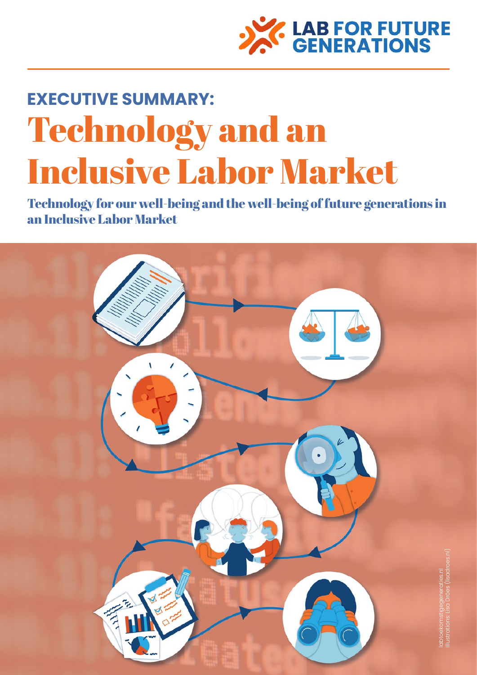

# **EXECUTIVE SUMMARY:**  Technology and an Inclusive Labor Market

Technology for our well-being and the well-being of future generations in an Inclusive Labor Market

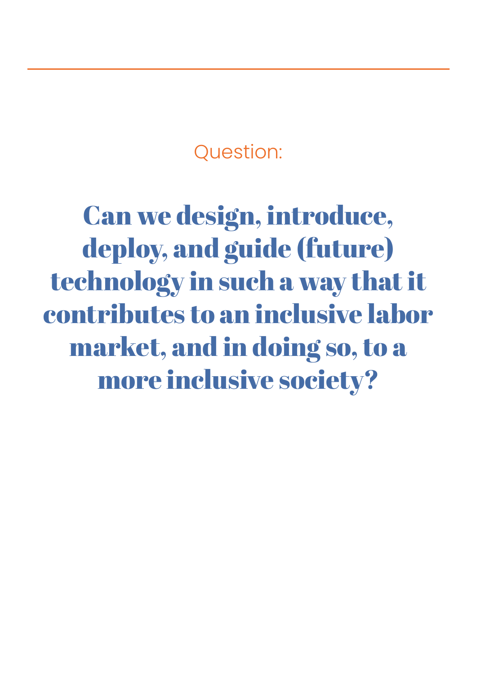Question:

Can we design, introduce, deploy, and guide (future) technology in such a way that it contributes to an inclusive labor market, and in doing so, to a more inclusive society?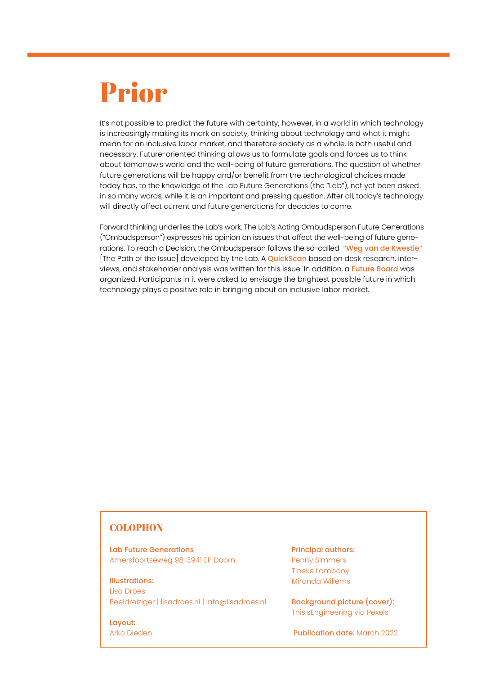## Prior

It's not possible to predict the future with certainty; however, in a world in which technology is increasingly making its mark on society, thinking about technology and what it might mean for an inclusive labor market, and therefore society as a whole, is both useful and necessary. Future-oriented thinking allows us to formulate goals and forces us to think about tomorrow's world and the well-being of future generations. The question of whether future generations will be happy and/or benefit from the technological choices made today has, to the knowledge of the Lab Future Generations (the "Lab"), not yet been asked in so many words, while it is an important and pressing question. After all, today's technology will directly affect current and future generations for decades to come.

Forward thinking underlies the Lab's work. The Lab's Acting Ombudsperson Future Generations ("Ombudsperson") expresses his opinion on issues that affect the well-being of future gene-rations. To reach a Decision, the Ombudsperson follows the so-called ["Weg van de Kwestie"](https://labtoekomstigegeneraties.nl/de-weg-van-de-kwestie/) [The Path of the Issue] developed by the Lab. A [QuickScan](https://labtoekomstigegeneraties.nl/wp-content/uploads/2021/12/Quickscan-Technologie-en-Inclusieve-Arbeid.pdf) based on desk research, inter-views, and stakeholder analysis was written for this issue. In addition, a [Future Board](http://labtoekomstigegeneraties.nl/inclusieve-technologie-en-arbeid/) was organized. Participants in it were asked to envisage the brightest possible future in which technology plays a positive role in bringing about an inclusive labor market.

### **COLOPHON**

Lab Future Generations Amersfoortseweg 98, 3941 EP Doorn

Illustrations: Lisa Dröes Beeldreiziger | [lisadroes.nl](https://lisadroes.nl) | info@lisadroes.nl

Layout: Arko Dieden

Principal authors: Penny Simmers Tineke Lambooy Miranda Willems

Background picture (cover): ThisIsEngineering via Pexels

Publication date: March 2022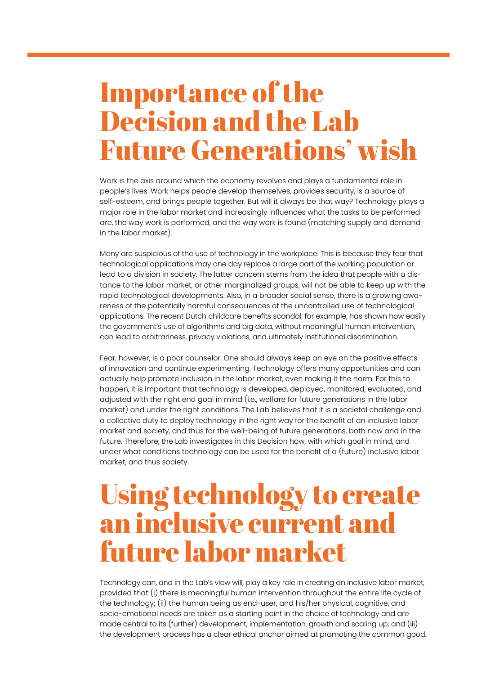### Importance of the Decision and the Lab Future Generations' wish

Work is the axis around which the economy revolves and plays a fundamental role in people's lives. Work helps people develop themselves, provides security, is a source of self-esteem, and brings people together. But will it always be that way? Technology plays a major role in the labor market and increasingly influences what the tasks to be performed are, the way work is performed, and the way work is found (matching supply and demand in the labor market).

Many are suspicious of the use of technology in the workplace. This is because they fear that technological applications may one day replace a large part of the working population or lead to a division in society. The latter concern stems from the idea that people with a distance to the labor market, or other marginalized groups, will not be able to keep up with the rapid technological developments. Also, in a broader social sense, there is a growing awareness of the potentially harmful consequences of the uncontrolled use of technological applications. The recent Dutch childcare benefits scandal, for example, has shown how easily the government's use of algorithms and big data, without meaningful human intervention, can lead to arbitrariness, privacy violations, and ultimately institutional discrimination.

Fear, however, is a poor counselor. One should always keep an eye on the positive effects of innovation and continue experimenting. Technology offers many opportunities and can actually help promote inclusion in the labor market, even making it the norm. For this to happen, it is important that technology is developed, deployed, monitored, evaluated, and adjusted with the right end goal in mind (i.e., welfare for future generations in the labor market) and under the right conditions. The Lab believes that it is a societal challenge and a collective duty to deploy technology in the right way for the benefit of an inclusive labor market and society, and thus for the well-being of future generations, both now and in the future. Therefore, the Lab investigates in this Decision how, with which goal in mind, and under what conditions technology can be used for the benefit of a (future) inclusive labor market, and thus society.

### Using technology to create an inclusive current and future labor market

Technology can, and in the Lab's view will, play a key role in creating an inclusive labor market, provided that (i) there is meaningful human intervention throughout the entire life cycle of the technology; (ii) the human being as end-user, and his/her physical, cognitive, and socio-emotional needs are taken as a starting point in the choice of technology and are made central to its (further) development, implementation, growth and scaling up; and (iii) the development process has a clear ethical anchor aimed at promoting the common good.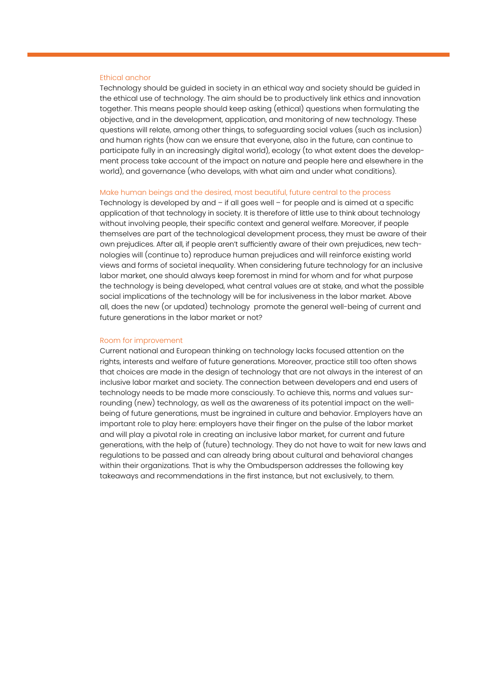#### Ethical anchor

Technology should be guided in society in an ethical way and society should be guided in the ethical use of technology. The aim should be to productively link ethics and innovation together. This means people should keep asking (ethical) questions when formulating the objective, and in the development, application, and monitoring of new technology. These questions will relate, among other things, to safeguarding social values (such as inclusion) and human rights (how can we ensure that everyone, also in the future, can continue to participate fully in an increasingly digital world), ecology (to what extent does the development process take account of the impact on nature and people here and elsewhere in the world), and governance (who develops, with what aim and under what conditions).

#### Make human beings and the desired, most beautiful, future central to the process

Technology is developed by and – if all goes well – for people and is aimed at a specific application of that technology in society. It is therefore of little use to think about technology without involving people, their specific context and general welfare. Moreover, if people themselves are part of the technological development process, they must be aware of their own prejudices. After all, if people aren't sufficiently aware of their own prejudices, new technologies will (continue to) reproduce human prejudices and will reinforce existing world views and forms of societal inequality. When considering future technology for an inclusive labor market, one should always keep foremost in mind for whom and for what purpose the technology is being developed, what central values are at stake, and what the possible social implications of the technology will be for inclusiveness in the labor market. Above all, does the new (or updated) technology promote the general well-being of current and future generations in the labor market or not?

#### Room for improvement

Current national and European thinking on technology lacks focused attention on the rights, interests and welfare of future generations. Moreover, practice still too often shows that choices are made in the design of technology that are not always in the interest of an inclusive labor market and society. The connection between developers and end users of technology needs to be made more consciously. To achieve this, norms and values surrounding (new) technology, as well as the awareness of its potential impact on the wellbeing of future generations, must be ingrained in culture and behavior. Employers have an important role to play here: employers have their finger on the pulse of the labor market and will play a pivotal role in creating an inclusive labor market, for current and future generations, with the help of (future) technology. They do not have to wait for new laws and regulations to be passed and can already bring about cultural and behavioral changes within their organizations. That is why the Ombudsperson addresses the following key takeaways and recommendations in the first instance, but not exclusively, to them.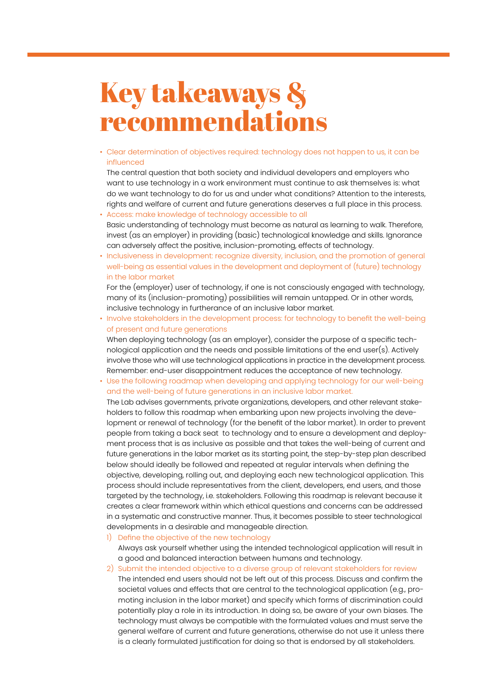## Key takeaways & recommendations

• Clear determination of objectives required: technology does not happen to us, it can be influenced

The central question that both society and individual developers and employers who want to use technology in a work environment must continue to ask themselves is: what do we want technology to do for us and under what conditions? Attention to the interests, rights and welfare of current and future generations deserves a full place in this process.

- Access: make knowledge of technology accessible to all Basic understanding of technology must become as natural as learning to walk. Therefore, invest (as an employer) in providing (basic) technological knowledge and skills. Ignorance can adversely affect the positive, inclusion-promoting, effects of technology.
- Inclusiveness in development: recognize diversity, inclusion, and the promotion of general well-being as essential values in the development and deployment of (future) technology in the labor market

For the (employer) user of technology, if one is not consciously engaged with technology, many of its (inclusion-promoting) possibilities will remain untapped. Or in other words, inclusive technology in furtherance of an inclusive labor market.

• Involve stakeholders in the development process: for technology to benefit the well-being of present and future generations

When deploying technology (as an employer), consider the purpose of a specific technological application and the needs and possible limitations of the end user(s). Actively involve those who will use technological applications in practice in the development process. Remember: end-user disappointment reduces the acceptance of new technology.

• Use the following roadmap when developing and applying technology for our well-being and the well-being of future generations in an inclusive labor market.

The Lab advises governments, private organizations, developers, and other relevant stakeholders to follow this roadmap when embarking upon new projects involving the development or renewal of technology (for the benefit of the labor market). In order to prevent people from taking a back seat to technology and to ensure a development and deployment process that is as inclusive as possible and that takes the well-being of current and future generations in the labor market as its starting point, the step-by-step plan described below should ideally be followed and repeated at regular intervals when defining the objective, developing, rolling out, and deploying each new technological application. This process should include representatives from the client, developers, end users, and those targeted by the technology, i.e. stakeholders. Following this roadmap is relevant because it creates a clear framework within which ethical questions and concerns can be addressed in a systematic and constructive manner. Thus, it becomes possible to steer technological developments in a desirable and manageable direction.

1) Define the objective of the new technology

Always ask yourself whether using the intended technological application will result in a good and balanced interaction between humans and technology.

#### 2) Submit the intended objective to a diverse group of relevant stakeholders for review

The intended end users should not be left out of this process. Discuss and confirm the societal values and effects that are central to the technological application (e.g., promoting inclusion in the labor market) and specify which forms of discrimination could potentially play a role in its introduction. In doing so, be aware of your own biases. The technology must always be compatible with the formulated values and must serve the general welfare of current and future generations, otherwise do not use it unless there is a clearly formulated justification for doing so that is endorsed by all stakeholders.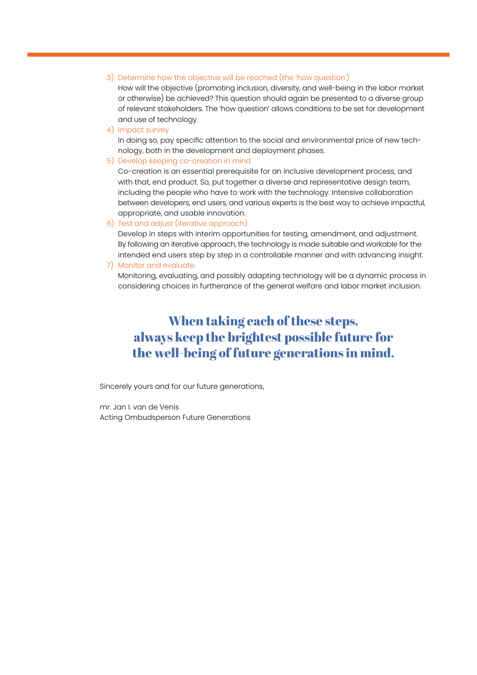#### 3) Determine how the objective will be reached (the 'how question')

How will the objective (promoting inclusion, diversity, and well-being in the labor market or otherwise) be achieved? This question should again be presented to a diverse group of relevant stakeholders. The 'how question' allows conditions to be set for development and use of technology.

4) Impact survey

In doing so, pay specific attention to the social and environmental price of new technology, both in the development and deployment phases.

5) Develop keeping co-creation in mind

Co-creation is an essential prerequisite for an inclusive development process, and with that, end product. So, put together a diverse and representative design team, including the people who have to work with the technology. Intensive collaboration between developers, end users, and various experts is the best way to achieve impactful, appropriate, and usable innovation.

6) Test and adjust (iterative approach)

Develop in steps with interim opportunities for testing, amendment, and adjustment. By following an iterative approach, the technology is made suitable and workable for the intended end users step by step in a controllable manner and with advancing insight.

7) Monitor and evaluate

Monitoring, evaluating, and possibly adapting technology will be a dynamic process in considering choices in furtherance of the general welfare and labor market inclusion.

### When taking each of these steps, always keep the brightest possible future for the well-being of future generations in mind.

Sincerely yours and for our future generations,

mr. Jan I. van de Venis Acting Ombudsperson Future Generations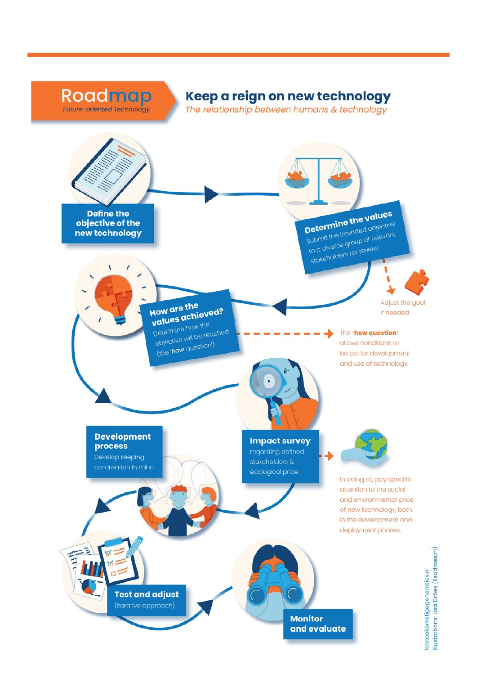